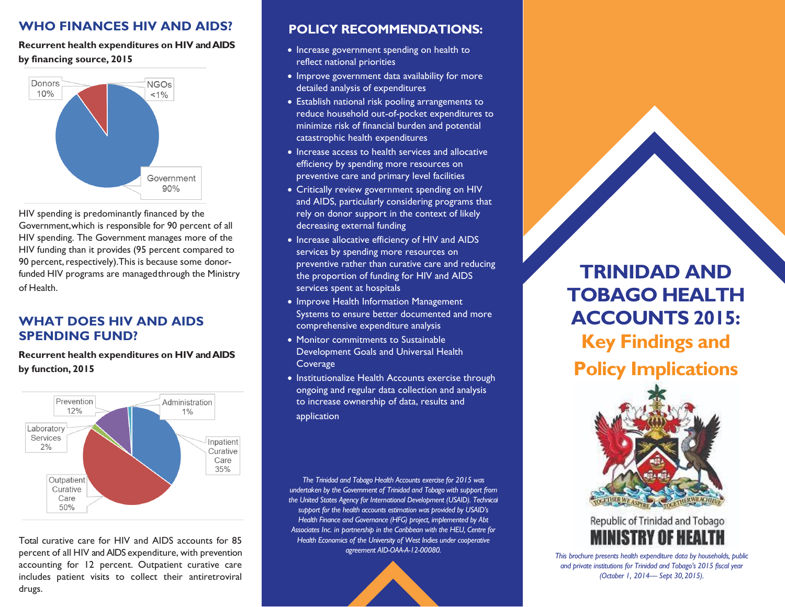## **WHO FINANCES HIV AND AIDS?**

**Recurrent health expenditures on HIV and AIDS by financing source, 2015**



HIV spending is predominantly financed by the Government,which is responsible for 90 percent of all HIV spending. The Government manages more of the HIV funding than it provides (95 percent compared to 90 percent, respectively). This is because some donorfunded HIV programs are managedthrough the Ministry of Health.

## **WHAT DOES HIV AND AIDS SPENDING FUND?**

**Recurrent health expenditures on HIV and AIDS by function, 2015**



Total curative care for HIV and AIDS accounts for 85 percent of all HIV and AIDS expenditure, with prevention accounting for 12 percent. Outpatient curative care includes patient visits to collect their antiretroviral drugs.

#### **POLICY RECOMMENDATIONS:**

- Increase government spending on health to reflect national priorities
- Improve government data availability for more detailed analysis of expenditures
- Establish national risk pooling arrangements to reduce household out-of-pocket expenditures to minimize risk of financial burden and potential catastrophic health expenditures
- Increase access to health services and allocative efficiency by spending more resources on preventive care and primary level facilities
- Critically review government spending on HIV and AIDS, particularly considering programs that rely on donor support in the context of likely decreasing external funding
- Increase allocative efficiency of HIV and AIDS services by spending more resources on preventive rather than curative care and reducing the proportion of funding for HIV and AIDS services spent at hospitals
- Improve Health Information Management Systems to ensure better documented and more comprehensive expenditure analysis
- Monitor commitments to Sustainable Development Goals and Universal Health **Coverage**
- Institutionalize Health Accounts exercise through ongoing and regular data collection and analysis to increase ownership of data, results and application

*The Trinidad and Tobago Health Accounts exercise for 2015 was undertaken by the Government of Trinidad and Tobago with support from the United States Agency for International Development (USAID). Technical support for the health accounts estimation was provided by USAID's Health Finance and Governance (HFG) project, implemented by Abt Associates Inc. in partnership in the Caribbean with the HEU, Centre for Health Economics of the University of West Indies under cooperative agreement AID-OAA-A-12-00080.*



# **TRINIDAD AND TOBAGO HEALTH ACCOUNTS 2015: Key Findings and Policy Implications**





*This brochure presents health expenditure data by households, public and private institutions for Trinidad and Tobago's 2015 fiscal year (October 1, 2014— Sept 30,2015).*